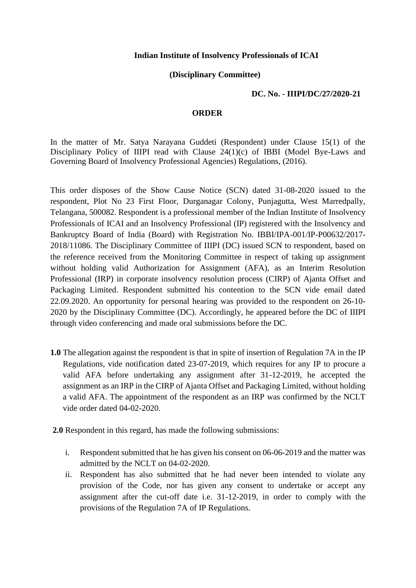## **Indian Institute of Insolvency Professionals of ICAI**

## **(Disciplinary Committee)**

## **DC. No. - IIIPI/DC/27/2020-21**

## **ORDER**

In the matter of Mr. Satya Narayana Guddeti (Respondent) under Clause 15(1) of the Disciplinary Policy of IIIPI read with Clause 24(1)(c) of IBBI (Model Bye-Laws and Governing Board of Insolvency Professional Agencies) Regulations, (2016).

This order disposes of the Show Cause Notice (SCN) dated 31-08-2020 issued to the respondent, Plot No 23 First Floor, Durganagar Colony, Punjagutta, West Marredpally, Telangana, 500082. Respondent is a professional member of the Indian Institute of Insolvency Professionals of ICAI and an Insolvency Professional (IP) registered with the Insolvency and Bankruptcy Board of India (Board) with Registration No. IBBI/IPA-001/IP-P00632/2017- 2018/11086. The Disciplinary Committee of IIIPI (DC) issued SCN to respondent, based on the reference received from the Monitoring Committee in respect of taking up assignment without holding valid Authorization for Assignment (AFA), as an Interim Resolution Professional (IRP) in corporate insolvency resolution process (CIRP) of Ajanta Offset and Packaging Limited. Respondent submitted his contention to the SCN vide email dated 22.09.2020. An opportunity for personal hearing was provided to the respondent on 26-10- 2020 by the Disciplinary Committee (DC). Accordingly, he appeared before the DC of IIIPI through video conferencing and made oral submissions before the DC.

- **1.0** The allegation against the respondent is that in spite of insertion of Regulation 7A in the IP Regulations, vide notification dated 23-07-2019, which requires for any IP to procure a valid AFA before undertaking any assignment after 31-12-2019, he accepted the assignment as an IRP in the CIRP of Ajanta Offset and Packaging Limited, without holding a valid AFA. The appointment of the respondent as an IRP was confirmed by the NCLT vide order dated 04-02-2020.
- **2.0** Respondent in this regard, has made the following submissions:
	- i. Respondent submitted that he has given his consent on 06-06-2019 and the matter was admitted by the NCLT on 04-02-2020.
	- ii. Respondent has also submitted that he had never been intended to violate any provision of the Code, nor has given any consent to undertake or accept any assignment after the cut-off date i.e. 31-12-2019, in order to comply with the provisions of the Regulation 7A of IP Regulations.